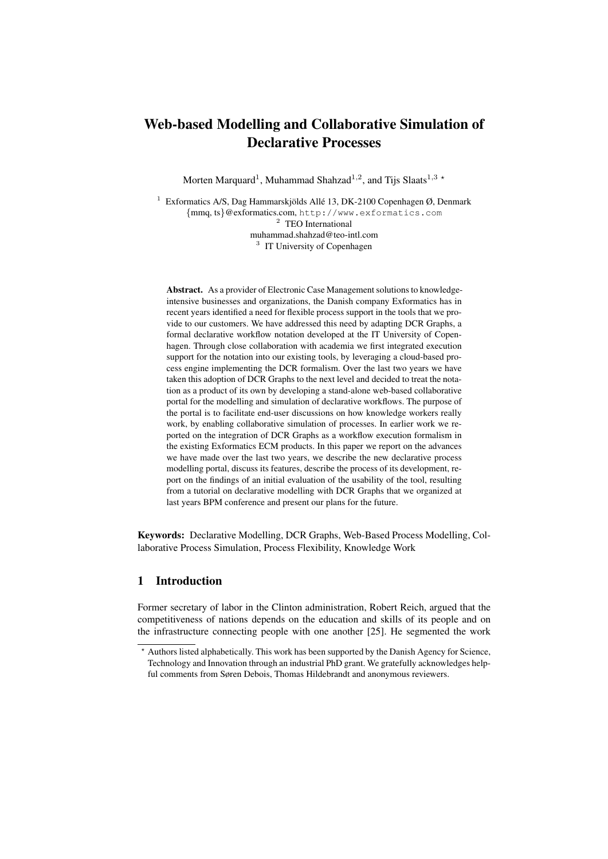# Web-based Modelling and Collaborative Simulation of Declarative Processes

Morten Marquard<sup>1</sup>, Muhammad Shahzad<sup>1,2</sup>, and Tijs Slaats<sup>1,3</sup> \*

<sup>1</sup> Exformatics A/S, Dag Hammarskjölds Allé 13, DK-2100 Copenhagen Ø, Denmark {mmq, ts}@exformatics.com, http://www.exformatics.com <sup>2</sup> TEO International muhammad.shahzad@teo-intl.com <sup>3</sup> IT University of Copenhagen

Abstract. As a provider of Electronic Case Management solutions to knowledgeintensive businesses and organizations, the Danish company Exformatics has in recent years identified a need for flexible process support in the tools that we provide to our customers. We have addressed this need by adapting DCR Graphs, a formal declarative workflow notation developed at the IT University of Copenhagen. Through close collaboration with academia we first integrated execution support for the notation into our existing tools, by leveraging a cloud-based process engine implementing the DCR formalism. Over the last two years we have taken this adoption of DCR Graphs to the next level and decided to treat the notation as a product of its own by developing a stand-alone web-based collaborative portal for the modelling and simulation of declarative workflows. The purpose of the portal is to facilitate end-user discussions on how knowledge workers really work, by enabling collaborative simulation of processes. In earlier work we reported on the integration of DCR Graphs as a workflow execution formalism in the existing Exformatics ECM products. In this paper we report on the advances we have made over the last two years, we describe the new declarative process modelling portal, discuss its features, describe the process of its development, report on the findings of an initial evaluation of the usability of the tool, resulting from a tutorial on declarative modelling with DCR Graphs that we organized at last years BPM conference and present our plans for the future.

Keywords: Declarative Modelling, DCR Graphs, Web-Based Process Modelling, Collaborative Process Simulation, Process Flexibility, Knowledge Work

## 1 Introduction

Former secretary of labor in the Clinton administration, Robert Reich, argued that the competitiveness of nations depends on the education and skills of its people and on the infrastructure connecting people with one another [25]. He segmented the work

<sup>\*</sup> Authors listed alphabetically. This work has been supported by the Danish Agency for Science, Technology and Innovation through an industrial PhD grant. We gratefully acknowledges helpful comments from Søren Debois, Thomas Hildebrandt and anonymous reviewers.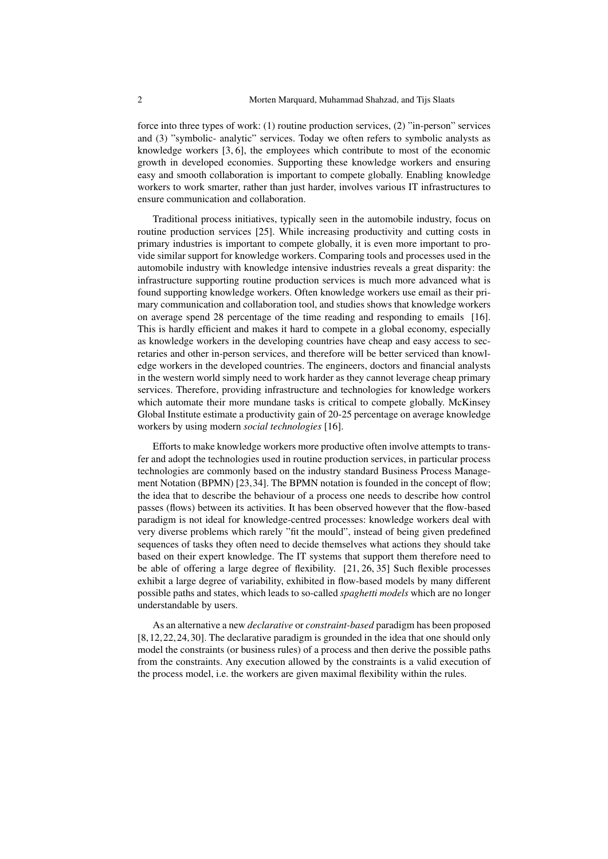force into three types of work: (1) routine production services, (2) "in-person" services and (3) "symbolic- analytic" services. Today we often refers to symbolic analysts as knowledge workers [3, 6], the employees which contribute to most of the economic growth in developed economies. Supporting these knowledge workers and ensuring easy and smooth collaboration is important to compete globally. Enabling knowledge workers to work smarter, rather than just harder, involves various IT infrastructures to ensure communication and collaboration.

Traditional process initiatives, typically seen in the automobile industry, focus on routine production services [25]. While increasing productivity and cutting costs in primary industries is important to compete globally, it is even more important to provide similar support for knowledge workers. Comparing tools and processes used in the automobile industry with knowledge intensive industries reveals a great disparity: the infrastructure supporting routine production services is much more advanced what is found supporting knowledge workers. Often knowledge workers use email as their primary communication and collaboration tool, and studies shows that knowledge workers on average spend 28 percentage of the time reading and responding to emails [16]. This is hardly efficient and makes it hard to compete in a global economy, especially as knowledge workers in the developing countries have cheap and easy access to secretaries and other in-person services, and therefore will be better serviced than knowledge workers in the developed countries. The engineers, doctors and financial analysts in the western world simply need to work harder as they cannot leverage cheap primary services. Therefore, providing infrastructure and technologies for knowledge workers which automate their more mundane tasks is critical to compete globally. McKinsey Global Institute estimate a productivity gain of 20-25 percentage on average knowledge workers by using modern *social technologies* [16].

Efforts to make knowledge workers more productive often involve attempts to transfer and adopt the technologies used in routine production services, in particular process technologies are commonly based on the industry standard Business Process Management Notation (BPMN) [23,34]. The BPMN notation is founded in the concept of flow; the idea that to describe the behaviour of a process one needs to describe how control passes (flows) between its activities. It has been observed however that the flow-based paradigm is not ideal for knowledge-centred processes: knowledge workers deal with very diverse problems which rarely "fit the mould", instead of being given predefined sequences of tasks they often need to decide themselves what actions they should take based on their expert knowledge. The IT systems that support them therefore need to be able of offering a large degree of flexibility. [21, 26, 35] Such flexible processes exhibit a large degree of variability, exhibited in flow-based models by many different possible paths and states, which leads to so-called *spaghetti models* which are no longer understandable by users.

As an alternative a new *declarative* or *constraint-based* paradigm has been proposed [8,12,22,24,30]. The declarative paradigm is grounded in the idea that one should only model the constraints (or business rules) of a process and then derive the possible paths from the constraints. Any execution allowed by the constraints is a valid execution of the process model, i.e. the workers are given maximal flexibility within the rules.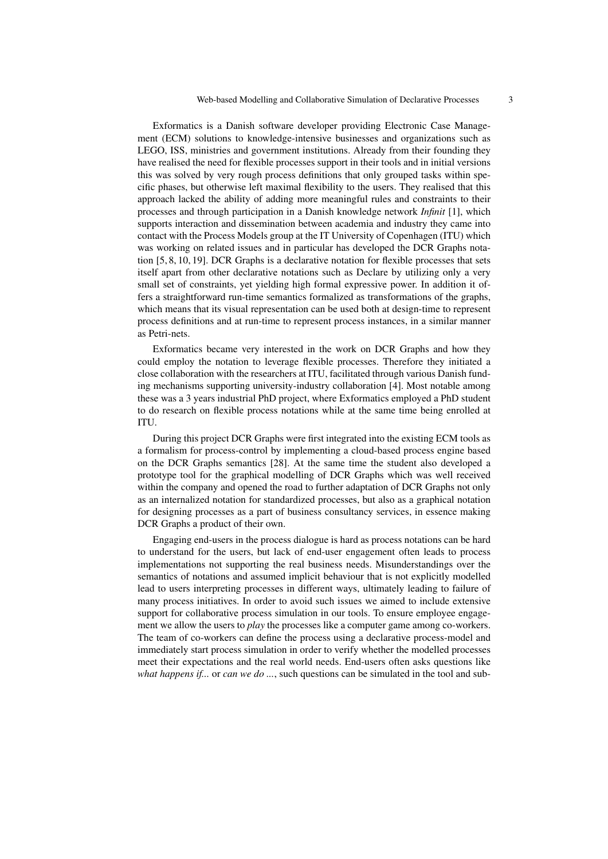Exformatics is a Danish software developer providing Electronic Case Management (ECM) solutions to knowledge-intensive businesses and organizations such as LEGO, ISS, ministries and government institutions. Already from their founding they have realised the need for flexible processes support in their tools and in initial versions this was solved by very rough process definitions that only grouped tasks within specific phases, but otherwise left maximal flexibility to the users. They realised that this approach lacked the ability of adding more meaningful rules and constraints to their processes and through participation in a Danish knowledge network *Infinit* [1], which supports interaction and dissemination between academia and industry they came into contact with the Process Models group at the IT University of Copenhagen (ITU) which was working on related issues and in particular has developed the DCR Graphs notation [5, 8, 10, 19]. DCR Graphs is a declarative notation for flexible processes that sets itself apart from other declarative notations such as Declare by utilizing only a very small set of constraints, yet yielding high formal expressive power. In addition it offers a straightforward run-time semantics formalized as transformations of the graphs, which means that its visual representation can be used both at design-time to represent process definitions and at run-time to represent process instances, in a similar manner as Petri-nets.

Exformatics became very interested in the work on DCR Graphs and how they could employ the notation to leverage flexible processes. Therefore they initiated a close collaboration with the researchers at ITU, facilitated through various Danish funding mechanisms supporting university-industry collaboration [4]. Most notable among these was a 3 years industrial PhD project, where Exformatics employed a PhD student to do research on flexible process notations while at the same time being enrolled at ITU.

During this project DCR Graphs were first integrated into the existing ECM tools as a formalism for process-control by implementing a cloud-based process engine based on the DCR Graphs semantics [28]. At the same time the student also developed a prototype tool for the graphical modelling of DCR Graphs which was well received within the company and opened the road to further adaptation of DCR Graphs not only as an internalized notation for standardized processes, but also as a graphical notation for designing processes as a part of business consultancy services, in essence making DCR Graphs a product of their own.

Engaging end-users in the process dialogue is hard as process notations can be hard to understand for the users, but lack of end-user engagement often leads to process implementations not supporting the real business needs. Misunderstandings over the semantics of notations and assumed implicit behaviour that is not explicitly modelled lead to users interpreting processes in different ways, ultimately leading to failure of many process initiatives. In order to avoid such issues we aimed to include extensive support for collaborative process simulation in our tools. To ensure employee engagement we allow the users to *play* the processes like a computer game among co-workers. The team of co-workers can define the process using a declarative process-model and immediately start process simulation in order to verify whether the modelled processes meet their expectations and the real world needs. End-users often asks questions like *what happens if...* or *can we do ...*, such questions can be simulated in the tool and sub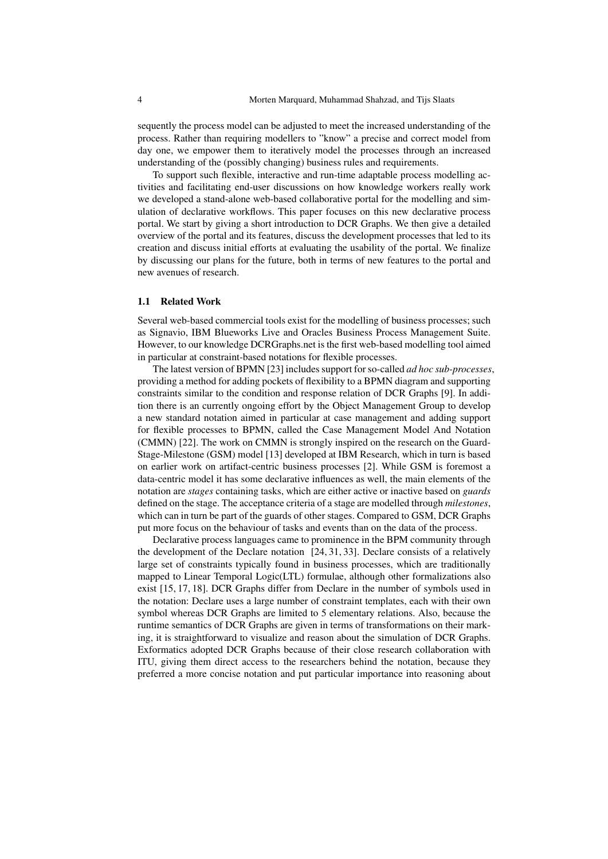sequently the process model can be adjusted to meet the increased understanding of the process. Rather than requiring modellers to "know" a precise and correct model from day one, we empower them to iteratively model the processes through an increased understanding of the (possibly changing) business rules and requirements.

To support such flexible, interactive and run-time adaptable process modelling activities and facilitating end-user discussions on how knowledge workers really work we developed a stand-alone web-based collaborative portal for the modelling and simulation of declarative workflows. This paper focuses on this new declarative process portal. We start by giving a short introduction to DCR Graphs. We then give a detailed overview of the portal and its features, discuss the development processes that led to its creation and discuss initial efforts at evaluating the usability of the portal. We finalize by discussing our plans for the future, both in terms of new features to the portal and new avenues of research.

#### 1.1 Related Work

Several web-based commercial tools exist for the modelling of business processes; such as Signavio, IBM Blueworks Live and Oracles Business Process Management Suite. However, to our knowledge DCRGraphs.net is the first web-based modelling tool aimed in particular at constraint-based notations for flexible processes.

The latest version of BPMN [23] includes support for so-called *ad hoc sub-processes*, providing a method for adding pockets of flexibility to a BPMN diagram and supporting constraints similar to the condition and response relation of DCR Graphs [9]. In addition there is an currently ongoing effort by the Object Management Group to develop a new standard notation aimed in particular at case management and adding support for flexible processes to BPMN, called the Case Management Model And Notation (CMMN) [22]. The work on CMMN is strongly inspired on the research on the Guard-Stage-Milestone (GSM) model [13] developed at IBM Research, which in turn is based on earlier work on artifact-centric business processes [2]. While GSM is foremost a data-centric model it has some declarative influences as well, the main elements of the notation are *stages* containing tasks, which are either active or inactive based on *guards* defined on the stage. The acceptance criteria of a stage are modelled through *milestones*, which can in turn be part of the guards of other stages. Compared to GSM, DCR Graphs put more focus on the behaviour of tasks and events than on the data of the process.

Declarative process languages came to prominence in the BPM community through the development of the Declare notation [24, 31, 33]. Declare consists of a relatively large set of constraints typically found in business processes, which are traditionally mapped to Linear Temporal Logic(LTL) formulae, although other formalizations also exist [15, 17, 18]. DCR Graphs differ from Declare in the number of symbols used in the notation: Declare uses a large number of constraint templates, each with their own symbol whereas DCR Graphs are limited to 5 elementary relations. Also, because the runtime semantics of DCR Graphs are given in terms of transformations on their marking, it is straightforward to visualize and reason about the simulation of DCR Graphs. Exformatics adopted DCR Graphs because of their close research collaboration with ITU, giving them direct access to the researchers behind the notation, because they preferred a more concise notation and put particular importance into reasoning about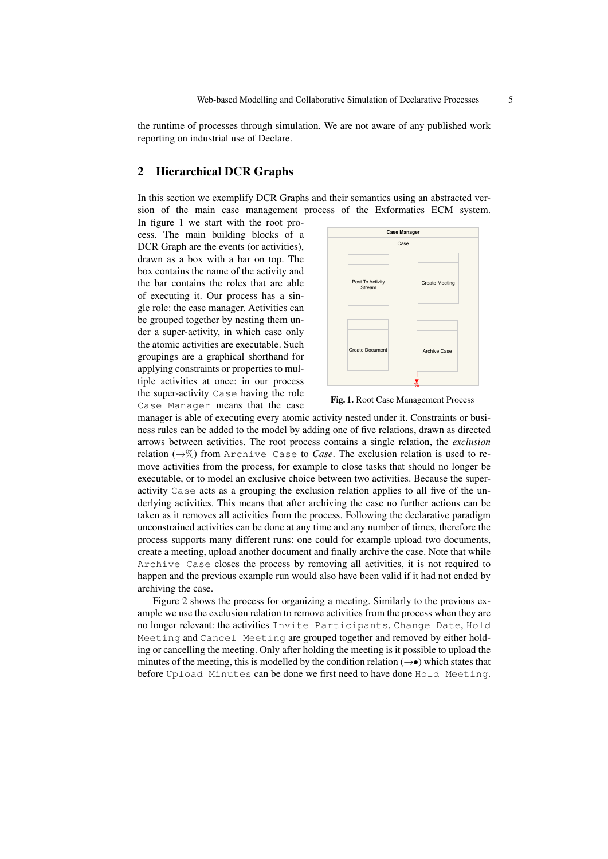the runtime of processes through simulation. We are not aware of any published work reporting on industrial use of Declare.

# 2 Hierarchical DCR Graphs

In this section we exemplify DCR Graphs and their semantics using an abstracted version of the main case management process of the Exformatics ECM system.

In figure 1 we start with the root process. The main building blocks of a DCR Graph are the events (or activities), drawn as a box with a bar on top. The box contains the name of the activity and the bar contains the roles that are able of executing it. Our process has a single role: the case manager. Activities can be grouped together by nesting them under a super-activity, in which case only the atomic activities are executable. Such groupings are a graphical shorthand for applying constraints or properties to multiple activities at once: in our process the super-activity Case having the role Case Manager means that the case



Fig. 1. Root Case Management Process

manager is able of executing every atomic activity nested under it. Constraints or business rules can be added to the model by adding one of five relations, drawn as directed arrows between activities. The root process contains a single relation, the *exclusion* relation  $(\rightarrow\%)$  from Archive Case to *Case*. The exclusion relation is used to remove activities from the process, for example to close tasks that should no longer be executable, or to model an exclusive choice between two activities. Because the superactivity Case acts as a grouping the exclusion relation applies to all five of the underlying activities. This means that after archiving the case no further actions can be taken as it removes all activities from the process. Following the declarative paradigm unconstrained activities can be done at any time and any number of times, therefore the process supports many different runs: one could for example upload two documents, create a meeting, upload another document and finally archive the case. Note that while Archive Case closes the process by removing all activities, it is not required to happen and the previous example run would also have been valid if it had not ended by archiving the case.

Figure 2 shows the process for organizing a meeting. Similarly to the previous example we use the exclusion relation to remove activities from the process when they are no longer relevant: the activities Invite Participants, Change Date, Hold Meeting and Cancel Meeting are grouped together and removed by either holding or cancelling the meeting. Only after holding the meeting is it possible to upload the minutes of the meeting, this is modelled by the condition relation  $(\rightarrow \bullet)$  which states that before Upload Minutes can be done we first need to have done Hold Meeting.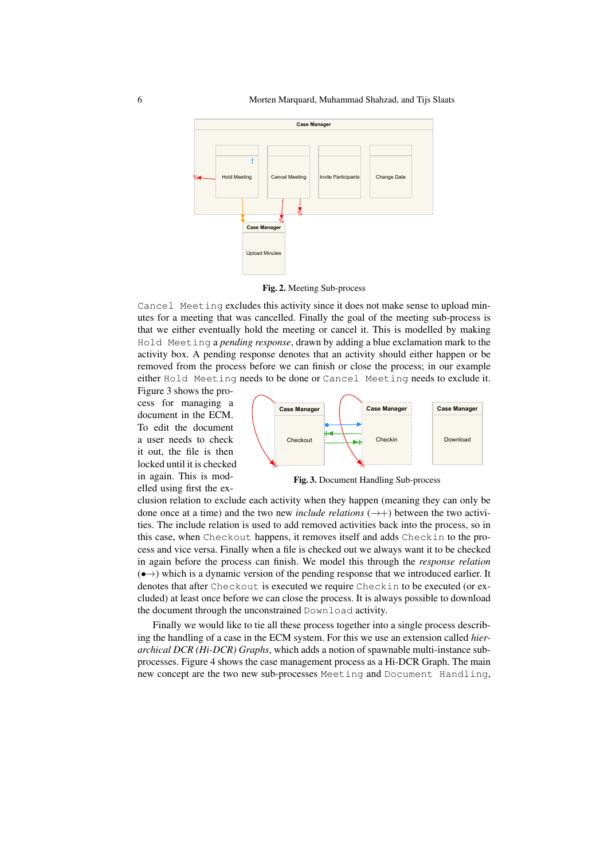

Fig. 2. Meeting Sub-process

Cancel Meeting excludes this activity since it does not make sense to upload minutes for a meeting that was cancelled. Finally the goal of the meeting sub-process is that we either eventually hold the meeting or cancel it. This is modelled by making Hold Meeting a *pending response*, drawn by adding a blue exclamation mark to the activity box. A pending response denotes that an activity should either happen or be removed from the process before we can finish or close the process; in our example either Hold Meeting needs to be done or Cancel Meeting needs to exclude it.

Figure 3 shows the process for managing a document in the ECM. To edit the document a user needs to check it out, the file is then locked until it is checked in again. This is modelled using first the ex-



Fig. 3. Document Handling Sub-process

clusion relation to exclude each activity when they happen (meaning they can only be done once at a time) and the two new *include relations*  $(\rightarrow +)$  between the two activities. The include relation is used to add removed activities back into the process, so in this case, when Checkout happens, it removes itself and adds Checkin to the process and vice versa. Finally when a file is checked out we always want it to be checked in again before the process can finish. We model this through the *response relation*  $(\rightarrow)$  which is a dynamic version of the pending response that we introduced earlier. It denotes that after Checkout is executed we require Checkin to be executed (or excluded) at least once before we can close the process. It is always possible to download the document through the unconstrained Download activity.

Finally we would like to tie all these process together into a single process describing the handling of a case in the ECM system. For this we use an extension called *hierarchical DCR (Hi-DCR) Graphs*, which adds a notion of spawnable multi-instance subprocesses. Figure 4 shows the case management process as a Hi-DCR Graph. The main new concept are the two new sub-processes Meeting and Document Handling,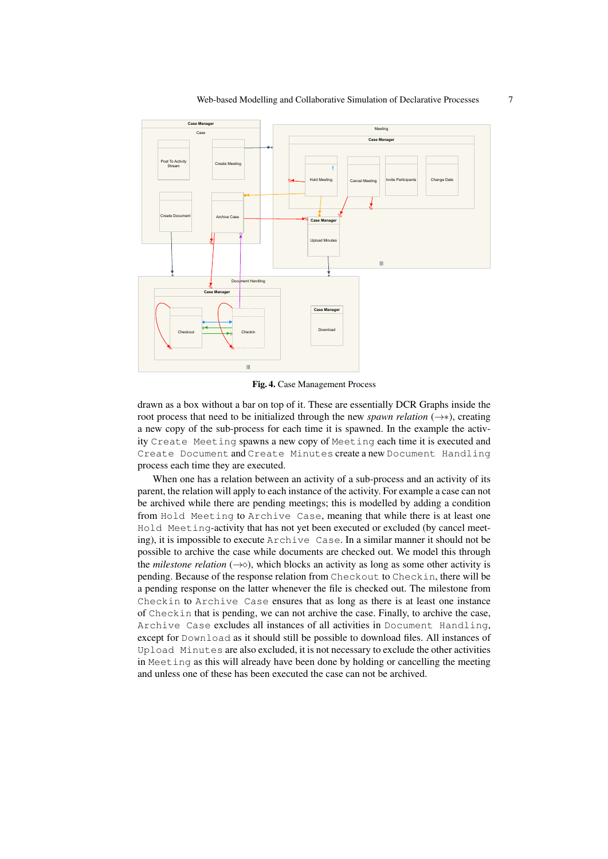

Fig. 4. Case Management Process

drawn as a box without a bar on top of it. These are essentially DCR Graphs inside the root process that need to be initialized through the new *spawn relation* (→∗), creating a new copy of the sub-process for each time it is spawned. In the example the activity Create Meeting spawns a new copy of Meeting each time it is executed and Create Document and Create Minutes create a new Document Handling process each time they are executed.

When one has a relation between an activity of a sub-process and an activity of its parent, the relation will apply to each instance of the activity. For example a case can not be archived while there are pending meetings; this is modelled by adding a condition from Hold Meeting to Archive Case, meaning that while there is at least one Hold Meeting-activity that has not yet been executed or excluded (by cancel meeting), it is impossible to execute Archive Case. In a similar manner it should not be possible to archive the case while documents are checked out. We model this through the *milestone relation* ( $\rightarrow \infty$ ), which blocks an activity as long as some other activity is pending. Because of the response relation from Checkout to Checkin, there will be a pending response on the latter whenever the file is checked out. The milestone from Checkin to Archive Case ensures that as long as there is at least one instance of Checkin that is pending, we can not archive the case. Finally, to archive the case, Archive Case excludes all instances of all activities in Document Handling, except for Download as it should still be possible to download files. All instances of Upload Minutes are also excluded, it is not necessary to exclude the other activities in Meeting as this will already have been done by holding or cancelling the meeting and unless one of these has been executed the case can not be archived.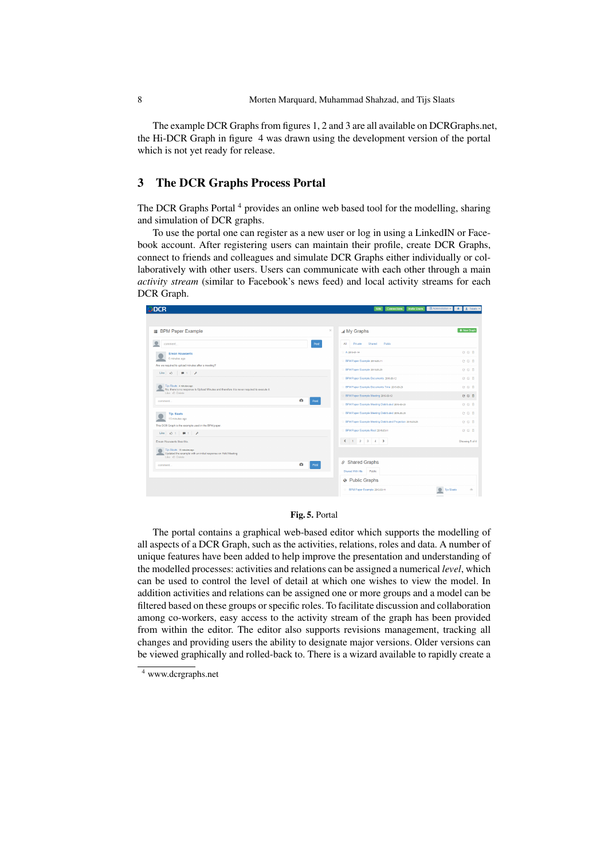The example DCR Graphs from figures 1, 2 and 3 are all available on DCRGraphs.net, the Hi-DCR Graph in figure 4 was drawn using the development version of the portal which is not yet ready for release.

# 3 The DCR Graphs Process Portal

The DCR Graphs Portal <sup>4</sup> provides an online web based tool for the modelling, sharing and simulation of DCR graphs.

To use the portal one can register as a new user or log in using a LinkedIN or Facebook account. After registering users can maintain their profile, create DCR Graphs, connect to friends and colleagues and simulate DCR Graphs either individually or collaboratively with other users. Users can communicate with each other through a main *activity stream* (similar to Facebook's news feed) and local activity streams for each DCR Graph.

| ODCR                                                                                                                      | <b>B</b> Administration +<br><b>Viki</b><br>Connections   Invite Users<br>$\bullet$ | $2$ Blazis $\sim$ |
|---------------------------------------------------------------------------------------------------------------------------|-------------------------------------------------------------------------------------|-------------------|
|                                                                                                                           |                                                                                     |                   |
| <b>E</b> BPM Paper Example                                                                                                | $\times$<br>all My Graphs                                                           | + New Graph       |
| Post<br>comment.                                                                                                          | AII<br>Private<br>Shared<br>Public                                                  |                   |
| <b>Erwan Houwaerts</b>                                                                                                    | A 2015-01-14                                                                        | 日日目               |
| 6 minutes ago<br>Are we required to upload minutes after a meeting?                                                       | BPM Paper Example 2015-03-11                                                        | ess               |
|                                                                                                                           | BPM Paper Example 2015-03-23                                                        | e e n             |
|                                                                                                                           | BPM Paper Example Documents 2015-03-12                                              | 白区首               |
| Tijs Slaats 4 minutes ago<br>No, there is no response to Upload Minutes and therefore it is never required to execute it. | BPM Paper Example Documents Time 2015-03-23                                         | e ø fi            |
| Like iD Delete<br>ø<br>Post<br>comment.                                                                                   | BPM Paper Example Meeting 2015-03-12                                                | 日日自               |
|                                                                                                                           | BPM Paper Example Meeting Distributed 2015-03-23                                    | e e n             |
| <b>Tils Slaats</b><br>15 minutes ago                                                                                      | BPM Paper Example Meeting Distributed 2015-03-23                                    | <b>CGB</b>        |
| This DCR Graph is the example used in the BPM paper.                                                                      | BPM Paper Example Meeting Distributed Projection 2015/03/23                         | 白び言               |
| Like $\bigotimes$ 1   $\blacksquare$ 1   $\blacktriangleright$                                                            | BPM Paper Example Root 2015-03-11                                                   | e ø fi            |
| Erwan Houwaerts likes this.                                                                                               | 1 2 3 4 3                                                                           | Showing 1 of 4    |
| Tijs Slaats 13 minutes ago<br>Updated the example with an initial response on Hold Meeting<br>Like io Delete              |                                                                                     |                   |
| G)<br>Post<br>comment.                                                                                                    | Shared Graphs                                                                       |                   |
|                                                                                                                           | <b>Public</b><br>Shared With Me                                                     |                   |
|                                                                                                                           | <sup>O</sup> Public Graphs                                                          |                   |
|                                                                                                                           | <b>Tijs Slaats</b><br><b>BPM Paper Example 2015-03-11</b>                           | $\circ$           |

Fig. 5. Portal

The portal contains a graphical web-based editor which supports the modelling of all aspects of a DCR Graph, such as the activities, relations, roles and data. A number of unique features have been added to help improve the presentation and understanding of the modelled processes: activities and relations can be assigned a numerical *level*, which can be used to control the level of detail at which one wishes to view the model. In addition activities and relations can be assigned one or more groups and a model can be filtered based on these groups or specific roles. To facilitate discussion and collaboration among co-workers, easy access to the activity stream of the graph has been provided from within the editor. The editor also supports revisions management, tracking all changes and providing users the ability to designate major versions. Older versions can be viewed graphically and rolled-back to. There is a wizard available to rapidly create a

<sup>4</sup> www.dcrgraphs.net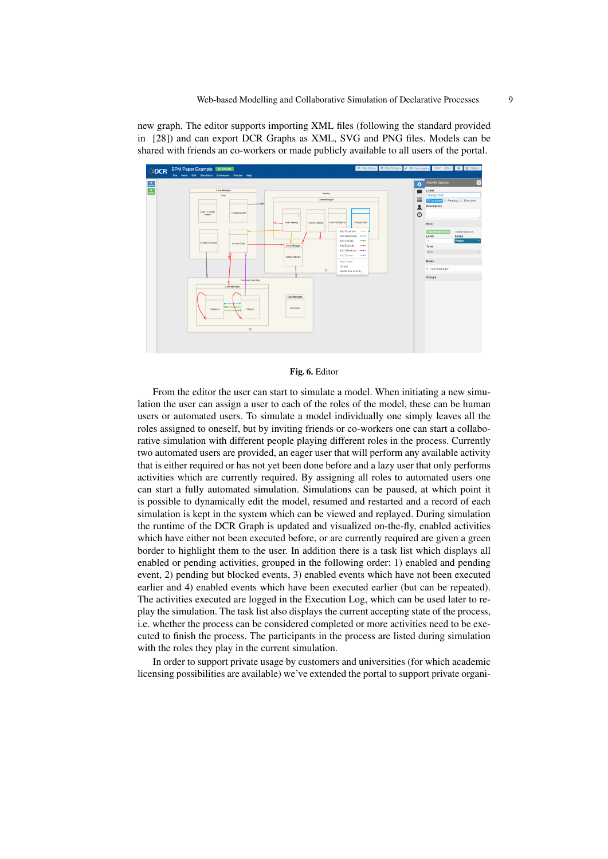new graph. The editor supports importing XML files (following the standard provided in [28]) and can export DCR Graphs as XML, SVG and PNG files. Models can be shared with friends an co-workers or made publicly available to all users of the portal.



#### Fig. 6. Editor

From the editor the user can start to simulate a model. When initiating a new simulation the user can assign a user to each of the roles of the model, these can be human users or automated users. To simulate a model individually one simply leaves all the roles assigned to oneself, but by inviting friends or co-workers one can start a collaborative simulation with different people playing different roles in the process. Currently two automated users are provided, an eager user that will perform any available activity that is either required or has not yet been done before and a lazy user that only performs activities which are currently required. By assigning all roles to automated users one can start a fully automated simulation. Simulations can be paused, at which point it is possible to dynamically edit the model, resumed and restarted and a record of each simulation is kept in the system which can be viewed and replayed. During simulation the runtime of the DCR Graph is updated and visualized on-the-fly, enabled activities which have either not been executed before, or are currently required are given a green border to highlight them to the user. In addition there is a task list which displays all enabled or pending activities, grouped in the following order: 1) enabled and pending event, 2) pending but blocked events, 3) enabled events which have not been executed earlier and 4) enabled events which have been executed earlier (but can be repeated). The activities executed are logged in the Execution Log, which can be used later to replay the simulation. The task list also displays the current accepting state of the process, i.e. whether the process can be considered completed or more activities need to be executed to finish the process. The participants in the process are listed during simulation with the roles they play in the current simulation.

In order to support private usage by customers and universities (for which academic licensing possibilities are available) we've extended the portal to support private organi-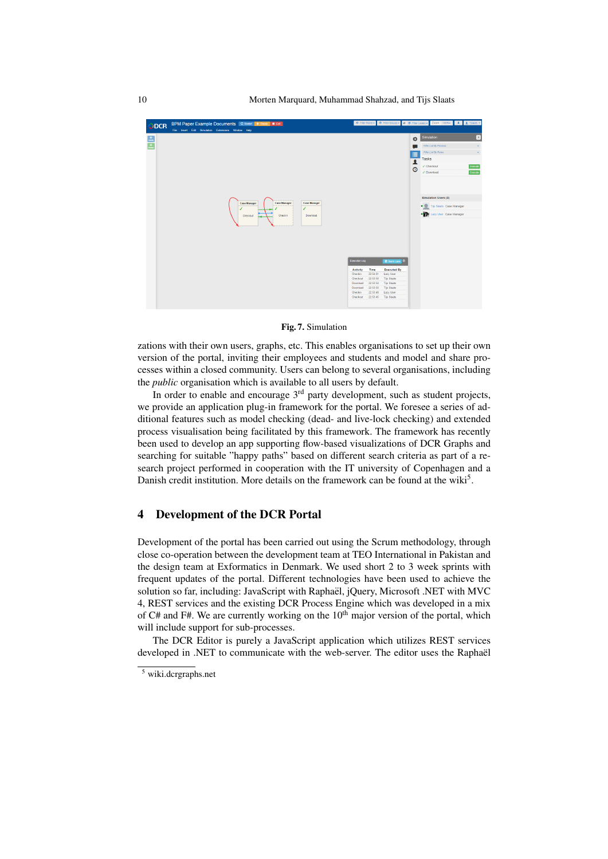10 Morten Marquard, Muhammad Shahzad, and Tijs Slaats



Fig. 7. Simulation

zations with their own users, graphs, etc. This enables organisations to set up their own version of the portal, inviting their employees and students and model and share processes within a closed community. Users can belong to several organisations, including the *public* organisation which is available to all users by default.

In order to enable and encourage 3<sup>rd</sup> party development, such as student projects, we provide an application plug-in framework for the portal. We foresee a series of additional features such as model checking (dead- and live-lock checking) and extended process visualisation being facilitated by this framework. The framework has recently been used to develop an app supporting flow-based visualizations of DCR Graphs and searching for suitable "happy paths" based on different search criteria as part of a research project performed in cooperation with the IT university of Copenhagen and a Danish credit institution. More details on the framework can be found at the wiki<sup>5</sup>.

# 4 Development of the DCR Portal

Development of the portal has been carried out using the Scrum methodology, through close co-operation between the development team at TEO International in Pakistan and the design team at Exformatics in Denmark. We used short 2 to 3 week sprints with frequent updates of the portal. Different technologies have been used to achieve the solution so far, including: JavaScript with Raphaël, jQuery, Microsoft .NET with MVC 4, REST services and the existing DCR Process Engine which was developed in a mix of  $C#$  and  $F#$ . We are currently working on the  $10<sup>th</sup>$  major version of the portal, which will include support for sub-processes.

The DCR Editor is purely a JavaScript application which utilizes REST services developed in .NET to communicate with the web-server. The editor uses the Raphaël

<sup>5</sup> wiki.dcrgraphs.net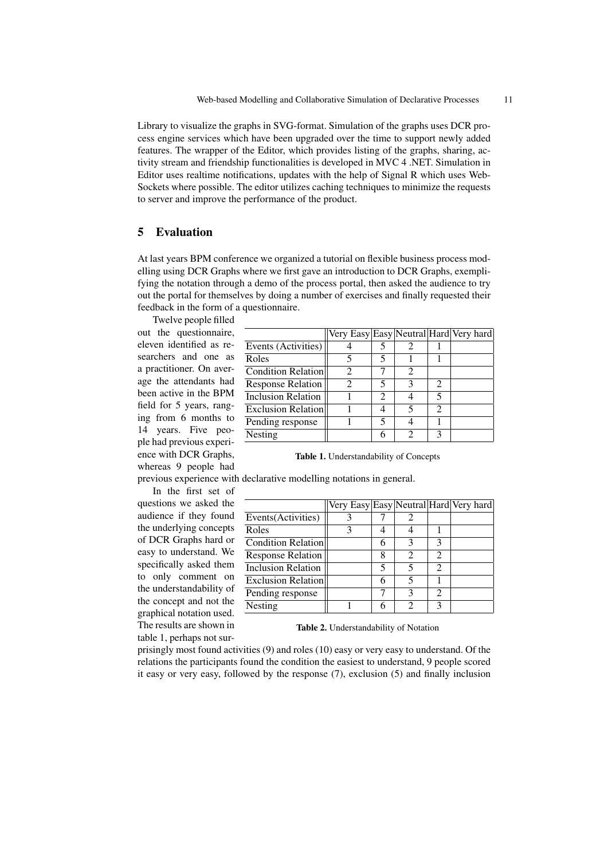Library to visualize the graphs in SVG-format. Simulation of the graphs uses DCR process engine services which have been upgraded over the time to support newly added features. The wrapper of the Editor, which provides listing of the graphs, sharing, activity stream and friendship functionalities is developed in MVC 4 .NET. Simulation in Editor uses realtime notifications, updates with the help of Signal R which uses Web-Sockets where possible. The editor utilizes caching techniques to minimize the requests to server and improve the performance of the product.

# 5 Evaluation

At last years BPM conference we organized a tutorial on flexible business process modelling using DCR Graphs where we first gave an introduction to DCR Graphs, exemplifying the notation through a demo of the process portal, then asked the audience to try out the portal for themselves by doing a number of exercises and finally requested their feedback in the form of a questionnaire.

Twelve people filled out the questionnaire, eleven identified as researchers and one as a practitioner. On average the attendants had been active in the BPM field for 5 years, ranging from 6 months to 14 years. Five people had previous experience with DCR Graphs, whereas 9 people had

In the first set of questions we asked the audience if they found the underlying concepts of DCR Graphs hard or easy to understand. We specifically asked them to only comment on the understandability of the concept and not the graphical notation used. The results are shown in table 1, perhaps not sur-

|                           | Very Easy Easy Neutral Hard Very hard |   |   |                             |  |
|---------------------------|---------------------------------------|---|---|-----------------------------|--|
| Events (Activities)       |                                       |   |   |                             |  |
| Roles                     |                                       |   |   |                             |  |
| <b>Condition Relation</b> |                                       |   | 2 |                             |  |
| <b>Response Relation</b>  |                                       |   | 3 | $\mathcal{D}_{\mathcal{A}}$ |  |
| <b>Inclusion Relation</b> |                                       | 2 |   |                             |  |
| <b>Exclusion Relation</b> |                                       |   |   | $\mathcal{D}_{\mathcal{L}}$ |  |
| Pending response          |                                       |   |   |                             |  |
| Nesting                   |                                       |   |   |                             |  |

Table 1. Understandability of Concepts

previous experience with declarative modelling notations in general.

| 6 |   | $\mathcal{F}$               |                                       |
|---|---|-----------------------------|---------------------------------------|
|   |   | $\mathcal{D}_{\mathcal{L}}$ |                                       |
|   |   | $\mathcal{D}_{\mathcal{A}}$ |                                       |
| 6 |   |                             |                                       |
|   | 3 | $\mathcal{D}_{\mathcal{L}}$ |                                       |
|   |   | $\mathcal{R}$               |                                       |
|   |   |                             | Very Easy Easy Neutral Hard Very hard |

Table 2. Understandability of Notation

prisingly most found activities (9) and roles (10) easy or very easy to understand. Of the relations the participants found the condition the easiest to understand, 9 people scored it easy or very easy, followed by the response (7), exclusion (5) and finally inclusion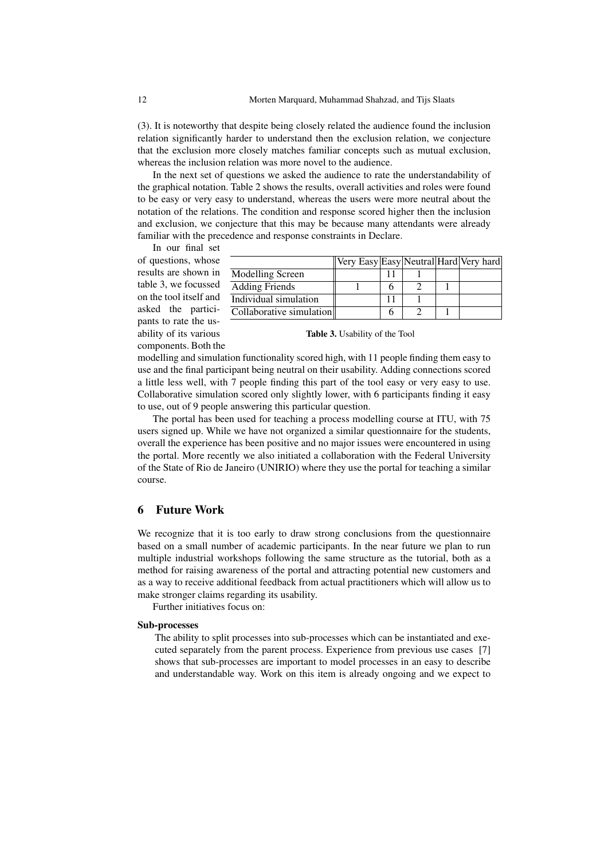(3). It is noteworthy that despite being closely related the audience found the inclusion relation significantly harder to understand then the exclusion relation, we conjecture that the exclusion more closely matches familiar concepts such as mutual exclusion, whereas the inclusion relation was more novel to the audience.

In the next set of questions we asked the audience to rate the understandability of the graphical notation. Table 2 shows the results, overall activities and roles were found to be easy or very easy to understand, whereas the users were more neutral about the notation of the relations. The condition and response scored higher then the inclusion and exclusion, we conjecture that this may be because many attendants were already familiar with the precedence and response constraints in Declare.

In our final set of questions, whose results are shown in table 3, we focussed on the tool itself and asked the participants to rate the usability of its various components. Both the

|                          | Very Easy Easy Neutral Hard Very hard |  |  |
|--------------------------|---------------------------------------|--|--|
| Modelling Screen         |                                       |  |  |
| <b>Adding Friends</b>    |                                       |  |  |
| Individual simulation    |                                       |  |  |
| Collaborative simulation |                                       |  |  |

Table 3. Usability of the Tool

modelling and simulation functionality scored high, with 11 people finding them easy to use and the final participant being neutral on their usability. Adding connections scored a little less well, with 7 people finding this part of the tool easy or very easy to use. Collaborative simulation scored only slightly lower, with 6 participants finding it easy to use, out of 9 people answering this particular question.

The portal has been used for teaching a process modelling course at ITU, with 75 users signed up. While we have not organized a similar questionnaire for the students, overall the experience has been positive and no major issues were encountered in using the portal. More recently we also initiated a collaboration with the Federal University of the State of Rio de Janeiro (UNIRIO) where they use the portal for teaching a similar course.

# 6 Future Work

We recognize that it is too early to draw strong conclusions from the questionnaire based on a small number of academic participants. In the near future we plan to run multiple industrial workshops following the same structure as the tutorial, both as a method for raising awareness of the portal and attracting potential new customers and as a way to receive additional feedback from actual practitioners which will allow us to make stronger claims regarding its usability.

Further initiatives focus on:

#### Sub-processes

The ability to split processes into sub-processes which can be instantiated and executed separately from the parent process. Experience from previous use cases [7] shows that sub-processes are important to model processes in an easy to describe and understandable way. Work on this item is already ongoing and we expect to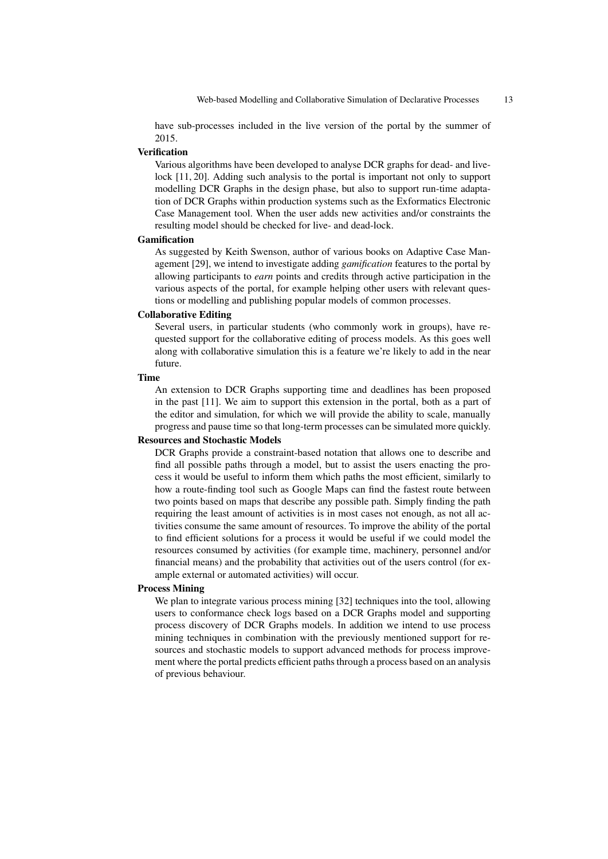have sub-processes included in the live version of the portal by the summer of 2015.

## Verification

Various algorithms have been developed to analyse DCR graphs for dead- and livelock [11, 20]. Adding such analysis to the portal is important not only to support modelling DCR Graphs in the design phase, but also to support run-time adaptation of DCR Graphs within production systems such as the Exformatics Electronic Case Management tool. When the user adds new activities and/or constraints the resulting model should be checked for live- and dead-lock.

## Gamification

As suggested by Keith Swenson, author of various books on Adaptive Case Management [29], we intend to investigate adding *gamification* features to the portal by allowing participants to *earn* points and credits through active participation in the various aspects of the portal, for example helping other users with relevant questions or modelling and publishing popular models of common processes.

#### Collaborative Editing

Several users, in particular students (who commonly work in groups), have requested support for the collaborative editing of process models. As this goes well along with collaborative simulation this is a feature we're likely to add in the near future.

## Time

An extension to DCR Graphs supporting time and deadlines has been proposed in the past [11]. We aim to support this extension in the portal, both as a part of the editor and simulation, for which we will provide the ability to scale, manually progress and pause time so that long-term processes can be simulated more quickly.

## Resources and Stochastic Models

DCR Graphs provide a constraint-based notation that allows one to describe and find all possible paths through a model, but to assist the users enacting the process it would be useful to inform them which paths the most efficient, similarly to how a route-finding tool such as Google Maps can find the fastest route between two points based on maps that describe any possible path. Simply finding the path requiring the least amount of activities is in most cases not enough, as not all activities consume the same amount of resources. To improve the ability of the portal to find efficient solutions for a process it would be useful if we could model the resources consumed by activities (for example time, machinery, personnel and/or financial means) and the probability that activities out of the users control (for example external or automated activities) will occur.

#### Process Mining

We plan to integrate various process mining [32] techniques into the tool, allowing users to conformance check logs based on a DCR Graphs model and supporting process discovery of DCR Graphs models. In addition we intend to use process mining techniques in combination with the previously mentioned support for resources and stochastic models to support advanced methods for process improvement where the portal predicts efficient paths through a process based on an analysis of previous behaviour.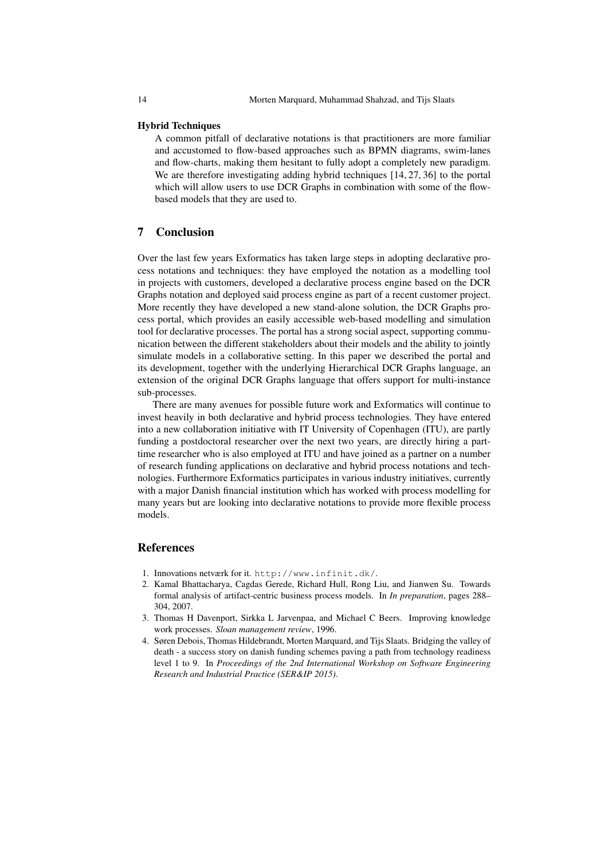## Hybrid Techniques

A common pitfall of declarative notations is that practitioners are more familiar and accustomed to flow-based approaches such as BPMN diagrams, swim-lanes and flow-charts, making them hesitant to fully adopt a completely new paradigm. We are therefore investigating adding hybrid techniques [14, 27, 36] to the portal which will allow users to use DCR Graphs in combination with some of the flowbased models that they are used to.

# 7 Conclusion

Over the last few years Exformatics has taken large steps in adopting declarative process notations and techniques: they have employed the notation as a modelling tool in projects with customers, developed a declarative process engine based on the DCR Graphs notation and deployed said process engine as part of a recent customer project. More recently they have developed a new stand-alone solution, the DCR Graphs process portal, which provides an easily accessible web-based modelling and simulation tool for declarative processes. The portal has a strong social aspect, supporting communication between the different stakeholders about their models and the ability to jointly simulate models in a collaborative setting. In this paper we described the portal and its development, together with the underlying Hierarchical DCR Graphs language, an extension of the original DCR Graphs language that offers support for multi-instance sub-processes.

There are many avenues for possible future work and Exformatics will continue to invest heavily in both declarative and hybrid process technologies. They have entered into a new collaboration initiative with IT University of Copenhagen (ITU), are partly funding a postdoctoral researcher over the next two years, are directly hiring a parttime researcher who is also employed at ITU and have joined as a partner on a number of research funding applications on declarative and hybrid process notations and technologies. Furthermore Exformatics participates in various industry initiatives, currently with a major Danish financial institution which has worked with process modelling for many years but are looking into declarative notations to provide more flexible process models.

# References

- 1. Innovations netværk for it. http://www.infinit.dk/.
- 2. Kamal Bhattacharya, Cagdas Gerede, Richard Hull, Rong Liu, and Jianwen Su. Towards formal analysis of artifact-centric business process models. In *In preparation*, pages 288– 304, 2007.
- 3. Thomas H Davenport, Sirkka L Jarvenpaa, and Michael C Beers. Improving knowledge work processes. *Sloan management review*, 1996.
- 4. Søren Debois, Thomas Hildebrandt, Morten Marquard, and Tijs Slaats. Bridging the valley of death - a success story on danish funding schemes paving a path from technology readiness level 1 to 9. In *Proceedings of the 2nd International Workshop on Software Engineering Research and Industrial Practice (SER&IP 2015)*.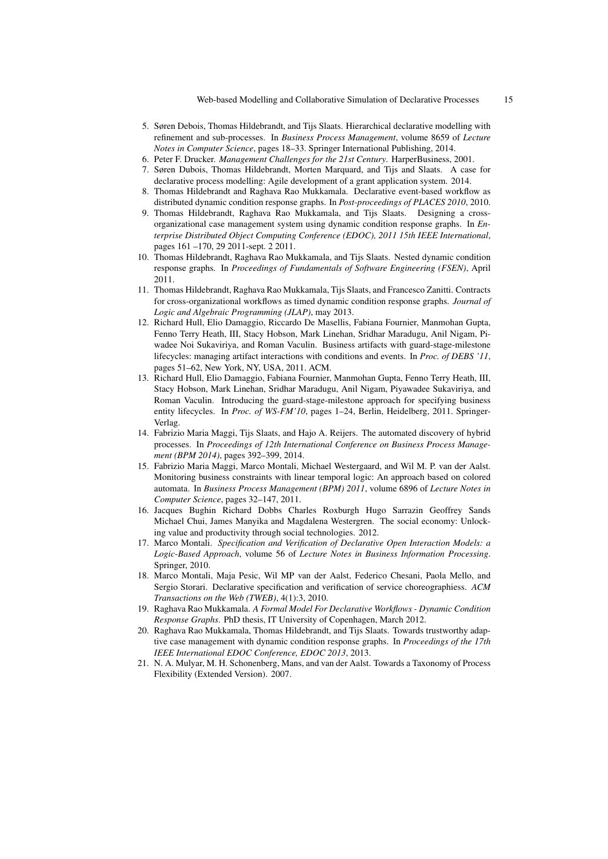- 5. Søren Debois, Thomas Hildebrandt, and Tijs Slaats. Hierarchical declarative modelling with refinement and sub-processes. In *Business Process Management*, volume 8659 of *Lecture Notes in Computer Science*, pages 18–33. Springer International Publishing, 2014.
- 6. Peter F. Drucker. *Management Challenges for the 21st Century*. HarperBusiness, 2001.
- 7. Søren Dubois, Thomas Hildebrandt, Morten Marquard, and Tijs and Slaats. A case for declarative process modelling: Agile development of a grant application system. 2014.
- 8. Thomas Hildebrandt and Raghava Rao Mukkamala. Declarative event-based workflow as distributed dynamic condition response graphs. In *Post-proceedings of PLACES 2010*, 2010.
- 9. Thomas Hildebrandt, Raghava Rao Mukkamala, and Tijs Slaats. Designing a crossorganizational case management system using dynamic condition response graphs. In *Enterprise Distributed Object Computing Conference (EDOC), 2011 15th IEEE International*, pages 161 –170, 29 2011-sept. 2 2011.
- 10. Thomas Hildebrandt, Raghava Rao Mukkamala, and Tijs Slaats. Nested dynamic condition response graphs. In *Proceedings of Fundamentals of Software Engineering (FSEN)*, April 2011.
- 11. Thomas Hildebrandt, Raghava Rao Mukkamala, Tijs Slaats, and Francesco Zanitti. Contracts for cross-organizational workflows as timed dynamic condition response graphs. *Journal of Logic and Algebraic Programming (JLAP)*, may 2013.
- 12. Richard Hull, Elio Damaggio, Riccardo De Masellis, Fabiana Fournier, Manmohan Gupta, Fenno Terry Heath, III, Stacy Hobson, Mark Linehan, Sridhar Maradugu, Anil Nigam, Piwadee Noi Sukaviriya, and Roman Vaculin. Business artifacts with guard-stage-milestone lifecycles: managing artifact interactions with conditions and events. In *Proc. of DEBS '11*, pages 51–62, New York, NY, USA, 2011. ACM.
- 13. Richard Hull, Elio Damaggio, Fabiana Fournier, Manmohan Gupta, Fenno Terry Heath, III, Stacy Hobson, Mark Linehan, Sridhar Maradugu, Anil Nigam, Piyawadee Sukaviriya, and Roman Vaculin. Introducing the guard-stage-milestone approach for specifying business entity lifecycles. In *Proc. of WS-FM'10*, pages 1–24, Berlin, Heidelberg, 2011. Springer-Verlag.
- 14. Fabrizio Maria Maggi, Tijs Slaats, and Hajo A. Reijers. The automated discovery of hybrid processes. In *Proceedings of 12th International Conference on Business Process Management (BPM 2014)*, pages 392–399, 2014.
- 15. Fabrizio Maria Maggi, Marco Montali, Michael Westergaard, and Wil M. P. van der Aalst. Monitoring business constraints with linear temporal logic: An approach based on colored automata. In *Business Process Management (BPM) 2011*, volume 6896 of *Lecture Notes in Computer Science*, pages 32–147, 2011.
- 16. Jacques Bughin Richard Dobbs Charles Roxburgh Hugo Sarrazin Geoffrey Sands Michael Chui, James Manyika and Magdalena Westergren. The social economy: Unlocking value and productivity through social technologies. 2012.
- 17. Marco Montali. *Specification and Verification of Declarative Open Interaction Models: a Logic-Based Approach*, volume 56 of *Lecture Notes in Business Information Processing*. Springer, 2010.
- 18. Marco Montali, Maja Pesic, Wil MP van der Aalst, Federico Chesani, Paola Mello, and Sergio Storari. Declarative specification and verification of service choreographiess. *ACM Transactions on the Web (TWEB)*, 4(1):3, 2010.
- 19. Raghava Rao Mukkamala. *A Formal Model For Declarative Workflows Dynamic Condition Response Graphs*. PhD thesis, IT University of Copenhagen, March 2012.
- 20. Raghava Rao Mukkamala, Thomas Hildebrandt, and Tijs Slaats. Towards trustworthy adaptive case management with dynamic condition response graphs. In *Proceedings of the 17th IEEE International EDOC Conference, EDOC 2013*, 2013.
- 21. N. A. Mulyar, M. H. Schonenberg, Mans, and van der Aalst. Towards a Taxonomy of Process Flexibility (Extended Version). 2007.